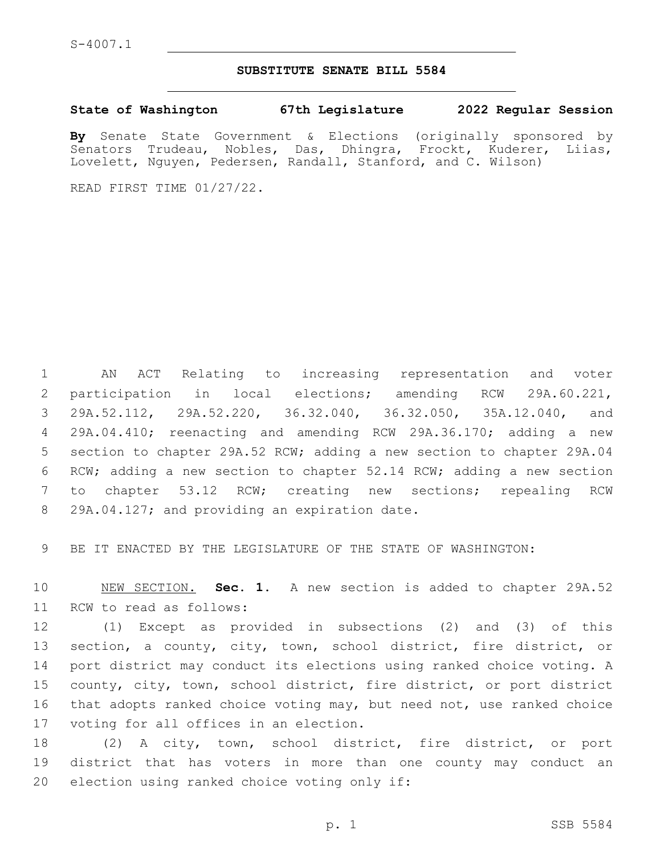## **SUBSTITUTE SENATE BILL 5584**

**State of Washington 67th Legislature 2022 Regular Session**

**By** Senate State Government & Elections (originally sponsored by Senators Trudeau, Nobles, Das, Dhingra, Frockt, Kuderer, Liias, Lovelett, Nguyen, Pedersen, Randall, Stanford, and C. Wilson)

READ FIRST TIME 01/27/22.

 AN ACT Relating to increasing representation and voter participation in local elections; amending RCW 29A.60.221, 29A.52.112, 29A.52.220, 36.32.040, 36.32.050, 35A.12.040, and 29A.04.410; reenacting and amending RCW 29A.36.170; adding a new section to chapter 29A.52 RCW; adding a new section to chapter 29A.04 RCW; adding a new section to chapter 52.14 RCW; adding a new section to chapter 53.12 RCW; creating new sections; repealing RCW 8 29A.04.127; and providing an expiration date.

9 BE IT ENACTED BY THE LEGISLATURE OF THE STATE OF WASHINGTON:

10 NEW SECTION. **Sec. 1.** A new section is added to chapter 29A.52 11 RCW to read as follows:

 (1) Except as provided in subsections (2) and (3) of this section, a county, city, town, school district, fire district, or port district may conduct its elections using ranked choice voting. A county, city, town, school district, fire district, or port district that adopts ranked choice voting may, but need not, use ranked choice 17 voting for all offices in an election.

18 (2) A city, town, school district, fire district, or port 19 district that has voters in more than one county may conduct an 20 election using ranked choice voting only if: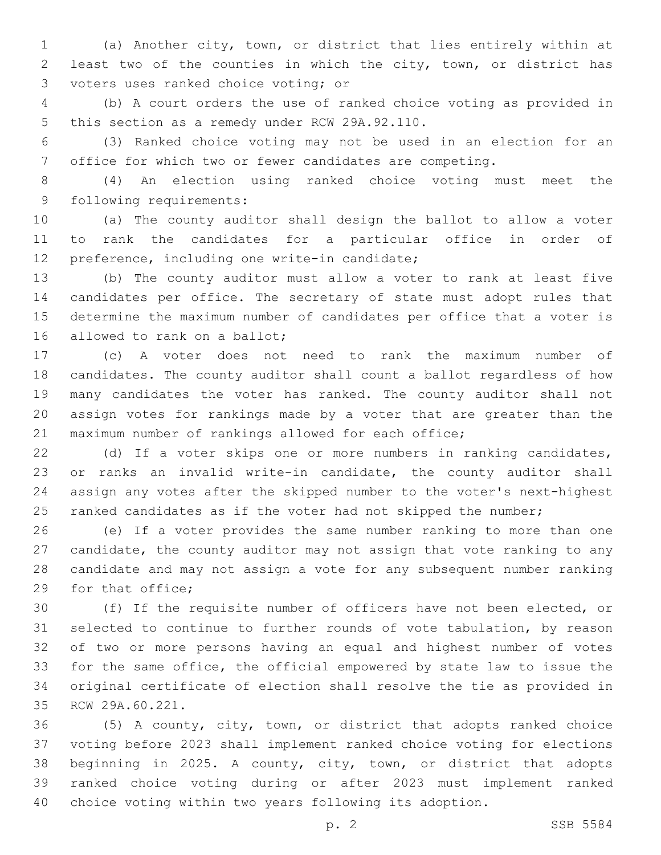(a) Another city, town, or district that lies entirely within at least two of the counties in which the city, town, or district has 3 voters uses ranked choice voting; or

 (b) A court orders the use of ranked choice voting as provided in 5 this section as a remedy under RCW 29A.92.110.

 (3) Ranked choice voting may not be used in an election for an office for which two or fewer candidates are competing.

 (4) An election using ranked choice voting must meet the 9 following requirements:

 (a) The county auditor shall design the ballot to allow a voter to rank the candidates for a particular office in order of 12 preference, including one write-in candidate;

 (b) The county auditor must allow a voter to rank at least five candidates per office. The secretary of state must adopt rules that determine the maximum number of candidates per office that a voter is 16 allowed to rank on a ballot;

 (c) A voter does not need to rank the maximum number of candidates. The county auditor shall count a ballot regardless of how many candidates the voter has ranked. The county auditor shall not assign votes for rankings made by a voter that are greater than the maximum number of rankings allowed for each office;

 (d) If a voter skips one or more numbers in ranking candidates, or ranks an invalid write-in candidate, the county auditor shall assign any votes after the skipped number to the voter's next-highest 25 ranked candidates as if the voter had not skipped the number;

 (e) If a voter provides the same number ranking to more than one candidate, the county auditor may not assign that vote ranking to any candidate and may not assign a vote for any subsequent number ranking 29 for that office;

 (f) If the requisite number of officers have not been elected, or selected to continue to further rounds of vote tabulation, by reason of two or more persons having an equal and highest number of votes for the same office, the official empowered by state law to issue the original certificate of election shall resolve the tie as provided in 35 RCW 29A.60.221.

 (5) A county, city, town, or district that adopts ranked choice voting before 2023 shall implement ranked choice voting for elections beginning in 2025. A county, city, town, or district that adopts ranked choice voting during or after 2023 must implement ranked choice voting within two years following its adoption.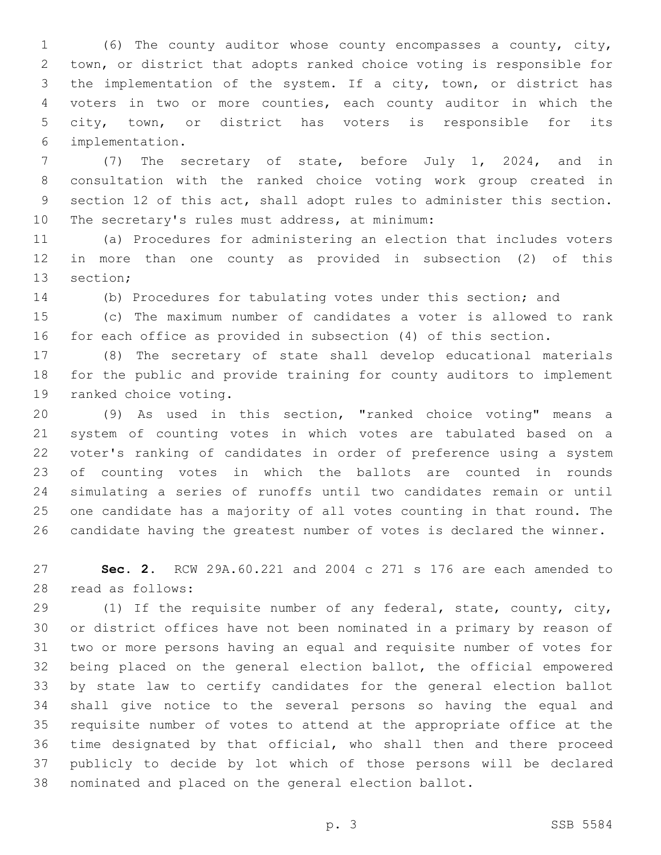(6) The county auditor whose county encompasses a county, city, town, or district that adopts ranked choice voting is responsible for the implementation of the system. If a city, town, or district has voters in two or more counties, each county auditor in which the city, town, or district has voters is responsible for its implementation.6

 (7) The secretary of state, before July 1, 2024, and in consultation with the ranked choice voting work group created in section 12 of this act, shall adopt rules to administer this section. 10 The secretary's rules must address, at minimum:

 (a) Procedures for administering an election that includes voters in more than one county as provided in subsection (2) of this 13 section;

(b) Procedures for tabulating votes under this section; and

 (c) The maximum number of candidates a voter is allowed to rank for each office as provided in subsection (4) of this section.

 (8) The secretary of state shall develop educational materials for the public and provide training for county auditors to implement 19 ranked choice voting.

 (9) As used in this section, "ranked choice voting" means a system of counting votes in which votes are tabulated based on a voter's ranking of candidates in order of preference using a system of counting votes in which the ballots are counted in rounds simulating a series of runoffs until two candidates remain or until one candidate has a majority of all votes counting in that round. The candidate having the greatest number of votes is declared the winner.

 **Sec. 2.** RCW 29A.60.221 and 2004 c 271 s 176 are each amended to read as follows:28

 (1) If the requisite number of any federal, state, county, city, or district offices have not been nominated in a primary by reason of two or more persons having an equal and requisite number of votes for being placed on the general election ballot, the official empowered by state law to certify candidates for the general election ballot shall give notice to the several persons so having the equal and requisite number of votes to attend at the appropriate office at the time designated by that official, who shall then and there proceed publicly to decide by lot which of those persons will be declared nominated and placed on the general election ballot.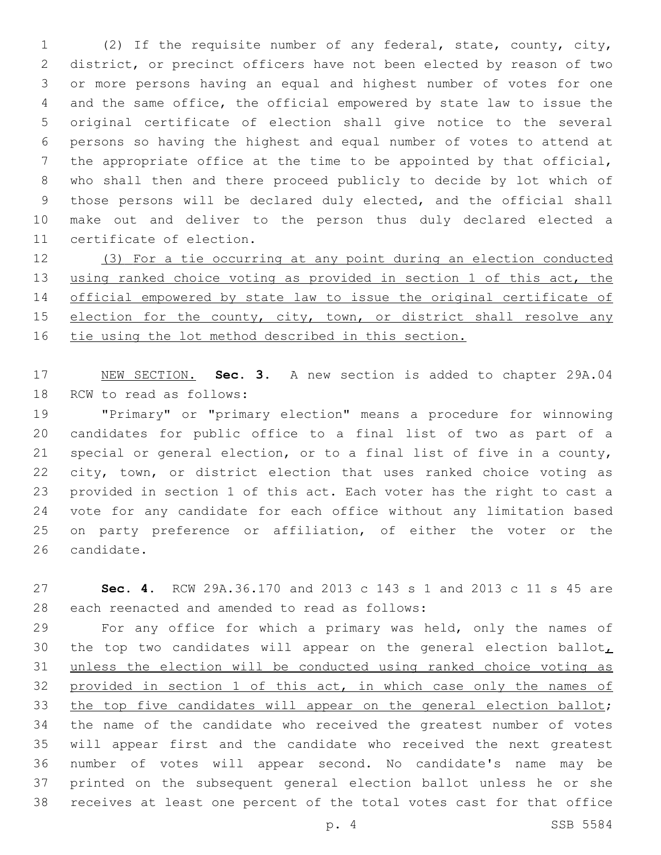(2) If the requisite number of any federal, state, county, city, district, or precinct officers have not been elected by reason of two or more persons having an equal and highest number of votes for one and the same office, the official empowered by state law to issue the original certificate of election shall give notice to the several persons so having the highest and equal number of votes to attend at the appropriate office at the time to be appointed by that official, who shall then and there proceed publicly to decide by lot which of those persons will be declared duly elected, and the official shall make out and deliver to the person thus duly declared elected a 11 certificate of election.

 (3) For a tie occurring at any point during an election conducted using ranked choice voting as provided in section 1 of this act, the official empowered by state law to issue the original certificate of 15 election for the county, city, town, or district shall resolve any tie using the lot method described in this section.

 NEW SECTION. **Sec. 3.** A new section is added to chapter 29A.04 18 RCW to read as follows:

 "Primary" or "primary election" means a procedure for winnowing candidates for public office to a final list of two as part of a special or general election, or to a final list of five in a county, city, town, or district election that uses ranked choice voting as provided in section 1 of this act. Each voter has the right to cast a vote for any candidate for each office without any limitation based on party preference or affiliation, of either the voter or the 26 candidate.

 **Sec. 4.** RCW 29A.36.170 and 2013 c 143 s 1 and 2013 c 11 s 45 are 28 each reenacted and amended to read as follows:

 For any office for which a primary was held, only the names of 30 the top two candidates will appear on the general election ballot, unless the election will be conducted using ranked choice voting as provided in section 1 of this act, in which case only the names of 33 the top five candidates will appear on the general election ballot; the name of the candidate who received the greatest number of votes will appear first and the candidate who received the next greatest number of votes will appear second. No candidate's name may be printed on the subsequent general election ballot unless he or she receives at least one percent of the total votes cast for that office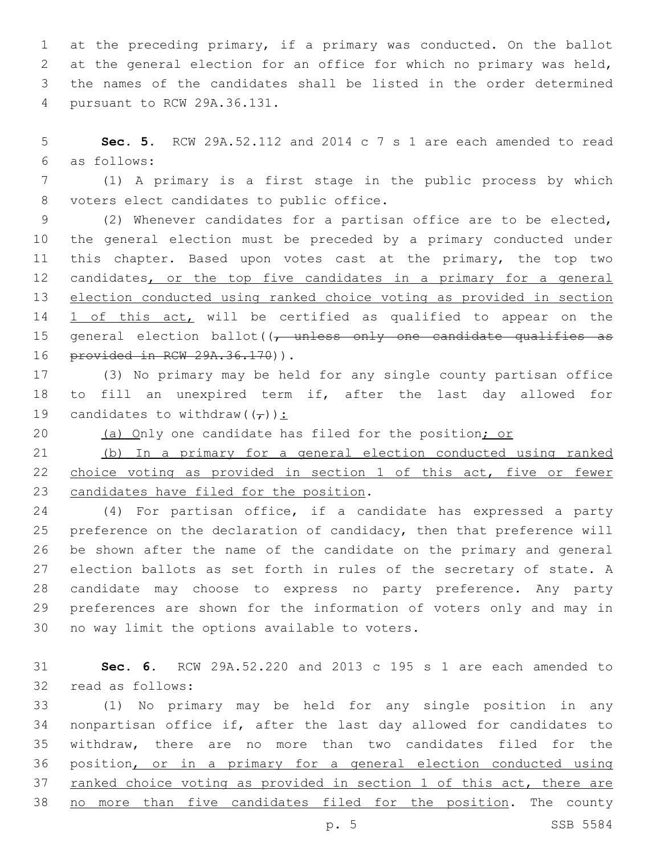at the preceding primary, if a primary was conducted. On the ballot at the general election for an office for which no primary was held, the names of the candidates shall be listed in the order determined pursuant to RCW 29A.36.131.4

 **Sec. 5.** RCW 29A.52.112 and 2014 c 7 s 1 are each amended to read as follows:6

 (1) A primary is a first stage in the public process by which 8 voters elect candidates to public office.

 (2) Whenever candidates for a partisan office are to be elected, the general election must be preceded by a primary conducted under this chapter. Based upon votes cast at the primary, the top two 12 candidates, or the top five candidates in a primary for a general election conducted using ranked choice voting as provided in section 14 1 of this act, will be certified as qualified to appear on the 15 general election ballot( $\sqrt{t}$  unless only one candidate qualifies as 16 provided in RCW 29A.36.170)).

 (3) No primary may be held for any single county partisan office to fill an unexpired term if, after the last day allowed for 19 candidates to withdraw( $(\tau)$ ):

20 (a) Only one candidate has filed for the position; or

 (b) In a primary for a general election conducted using ranked choice voting as provided in section 1 of this act, five or fewer 23 candidates have filed for the position.

 (4) For partisan office, if a candidate has expressed a party preference on the declaration of candidacy, then that preference will be shown after the name of the candidate on the primary and general election ballots as set forth in rules of the secretary of state. A candidate may choose to express no party preference. Any party preferences are shown for the information of voters only and may in 30 no way limit the options available to voters.

 **Sec. 6.** RCW 29A.52.220 and 2013 c 195 s 1 are each amended to 32 read as follows:

 (1) No primary may be held for any single position in any nonpartisan office if, after the last day allowed for candidates to withdraw, there are no more than two candidates filed for the position, or in a primary for a general election conducted using 37 ranked choice voting as provided in section 1 of this act, there are 38 no more than five candidates filed for the position. The county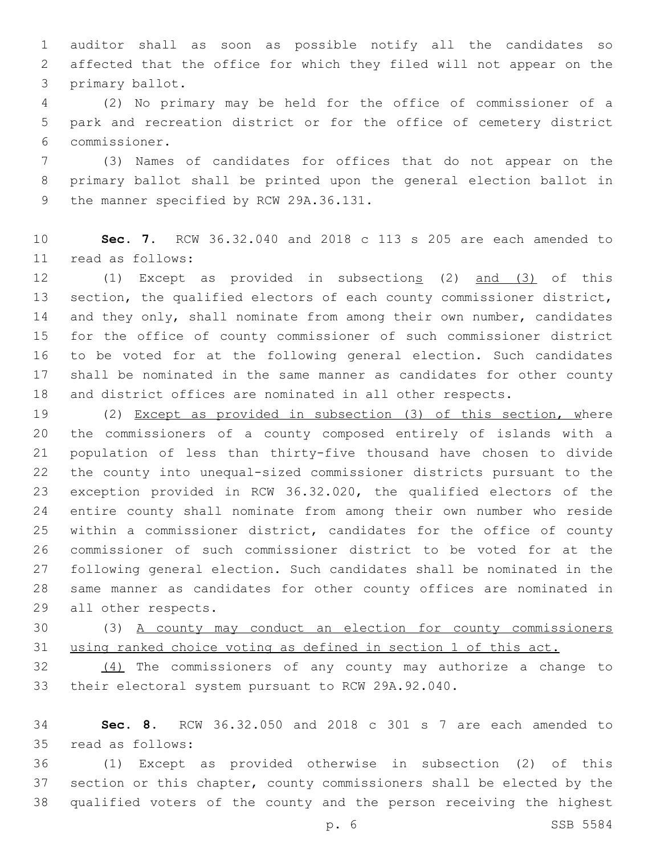auditor shall as soon as possible notify all the candidates so affected that the office for which they filed will not appear on the 3 primary ballot.

 (2) No primary may be held for the office of commissioner of a park and recreation district or for the office of cemetery district commissioner.6

 (3) Names of candidates for offices that do not appear on the primary ballot shall be printed upon the general election ballot in 9 the manner specified by RCW 29A.36.131.

 **Sec. 7.** RCW 36.32.040 and 2018 c 113 s 205 are each amended to read as follows:11

 (1) Except as provided in subsections (2) and (3) of this section, the qualified electors of each county commissioner district, 14 and they only, shall nominate from among their own number, candidates for the office of county commissioner of such commissioner district to be voted for at the following general election. Such candidates shall be nominated in the same manner as candidates for other county and district offices are nominated in all other respects.

 (2) Except as provided in subsection (3) of this section, where the commissioners of a county composed entirely of islands with a population of less than thirty-five thousand have chosen to divide the county into unequal-sized commissioner districts pursuant to the exception provided in RCW 36.32.020, the qualified electors of the entire county shall nominate from among their own number who reside within a commissioner district, candidates for the office of county commissioner of such commissioner district to be voted for at the following general election. Such candidates shall be nominated in the same manner as candidates for other county offices are nominated in 29 all other respects.

 (3) A county may conduct an election for county commissioners using ranked choice voting as defined in section 1 of this act.

 (4) The commissioners of any county may authorize a change to their electoral system pursuant to RCW 29A.92.040.

 **Sec. 8.** RCW 36.32.050 and 2018 c 301 s 7 are each amended to read as follows:35

 (1) Except as provided otherwise in subsection (2) of this section or this chapter, county commissioners shall be elected by the qualified voters of the county and the person receiving the highest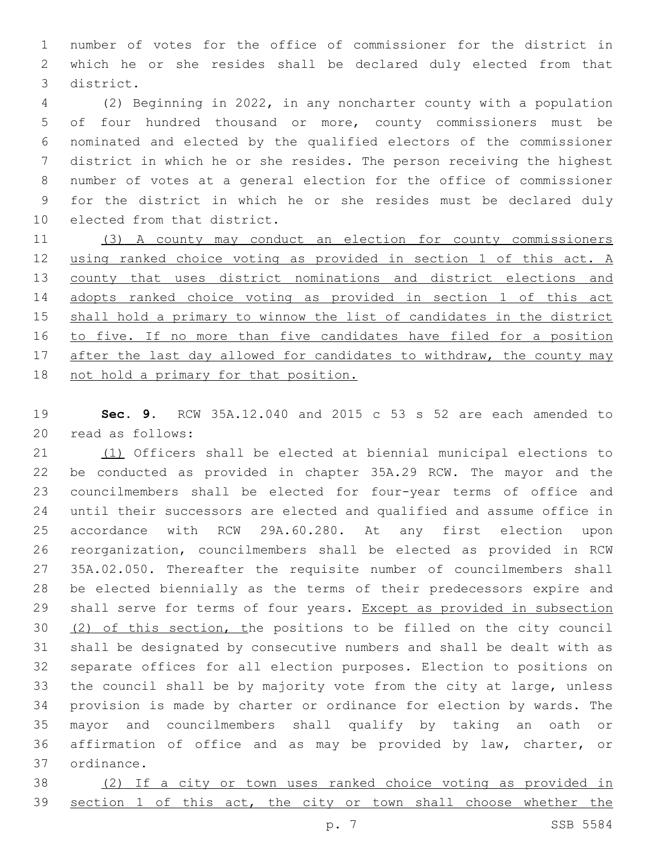number of votes for the office of commissioner for the district in which he or she resides shall be declared duly elected from that district.3

 (2) Beginning in 2022, in any noncharter county with a population of four hundred thousand or more, county commissioners must be nominated and elected by the qualified electors of the commissioner district in which he or she resides. The person receiving the highest number of votes at a general election for the office of commissioner for the district in which he or she resides must be declared duly 10 elected from that district.

 (3) A county may conduct an election for county commissioners using ranked choice voting as provided in section 1 of this act. A county that uses district nominations and district elections and adopts ranked choice voting as provided in section 1 of this act shall hold a primary to winnow the list of candidates in the district to five. If no more than five candidates have filed for a position 17 after the last day allowed for candidates to withdraw, the county may not hold a primary for that position.

 **Sec. 9.** RCW 35A.12.040 and 2015 c 53 s 52 are each amended to 20 read as follows:

 (1) Officers shall be elected at biennial municipal elections to be conducted as provided in chapter 35A.29 RCW. The mayor and the councilmembers shall be elected for four-year terms of office and until their successors are elected and qualified and assume office in accordance with RCW 29A.60.280. At any first election upon reorganization, councilmembers shall be elected as provided in RCW 35A.02.050. Thereafter the requisite number of councilmembers shall be elected biennially as the terms of their predecessors expire and 29 shall serve for terms of four years. Except as provided in subsection (2) of this section, the positions to be filled on the city council shall be designated by consecutive numbers and shall be dealt with as separate offices for all election purposes. Election to positions on the council shall be by majority vote from the city at large, unless provision is made by charter or ordinance for election by wards. The mayor and councilmembers shall qualify by taking an oath or affirmation of office and as may be provided by law, charter, or 37 ordinance.

 (2) If a city or town uses ranked choice voting as provided in 39 section 1 of this act, the city or town shall choose whether the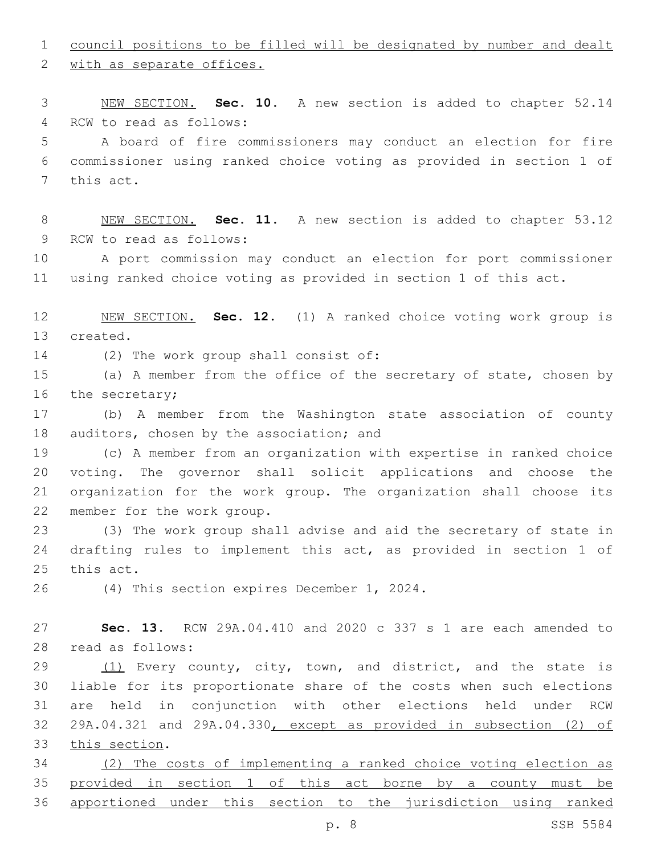council positions to be filled will be designated by number and dealt

2 with as separate offices.

 NEW SECTION. **Sec. 10.** A new section is added to chapter 52.14 4 RCW to read as follows:

 A board of fire commissioners may conduct an election for fire commissioner using ranked choice voting as provided in section 1 of 7 this act.

 NEW SECTION. **Sec. 11.** A new section is added to chapter 53.12 9 RCW to read as follows:

 A port commission may conduct an election for port commissioner using ranked choice voting as provided in section 1 of this act.

 NEW SECTION. **Sec. 12.** (1) A ranked choice voting work group is created.

14 (2) The work group shall consist of:

 (a) A member from the office of the secretary of state, chosen by 16 the secretary;

 (b) A member from the Washington state association of county 18 auditors, chosen by the association; and

 (c) A member from an organization with expertise in ranked choice voting. The governor shall solicit applications and choose the organization for the work group. The organization shall choose its 22 member for the work group.

 (3) The work group shall advise and aid the secretary of state in drafting rules to implement this act, as provided in section 1 of 25 this act.

26 (4) This section expires December 1, 2024.

 **Sec. 13.** RCW 29A.04.410 and 2020 c 337 s 1 are each amended to read as follows:28

29 (1) Every county, city, town, and district, and the state is liable for its proportionate share of the costs when such elections are held in conjunction with other elections held under RCW 29A.04.321 and 29A.04.330, except as provided in subsection (2) of 33 this section.

 (2) The costs of implementing a ranked choice voting election as provided in section 1 of this act borne by a county must be apportioned under this section to the jurisdiction using ranked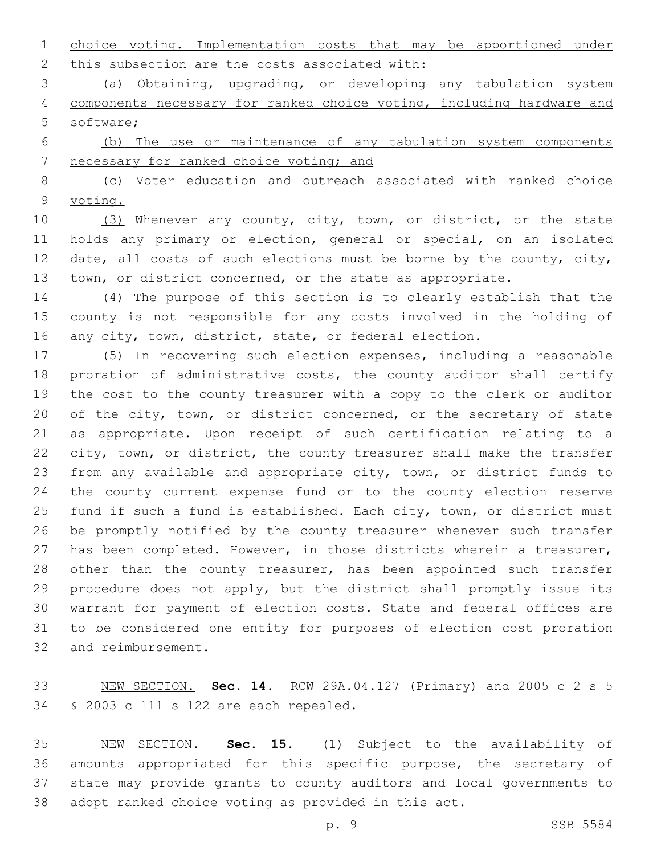choice voting. Implementation costs that may be apportioned under 2 this subsection are the costs associated with:

 (a) Obtaining, upgrading, or developing any tabulation system components necessary for ranked choice voting, including hardware and software;

 (b) The use or maintenance of any tabulation system components 7 necessary for ranked choice voting; and

8 (c) Voter education and outreach associated with ranked choice voting.

 (3) Whenever any county, city, town, or district, or the state holds any primary or election, general or special, on an isolated 12 date, all costs of such elections must be borne by the county, city, town, or district concerned, or the state as appropriate.

 (4) The purpose of this section is to clearly establish that the county is not responsible for any costs involved in the holding of 16 any city, town, district, state, or federal election.

 (5) In recovering such election expenses, including a reasonable proration of administrative costs, the county auditor shall certify the cost to the county treasurer with a copy to the clerk or auditor 20 of the city, town, or district concerned, or the secretary of state as appropriate. Upon receipt of such certification relating to a city, town, or district, the county treasurer shall make the transfer from any available and appropriate city, town, or district funds to the county current expense fund or to the county election reserve fund if such a fund is established. Each city, town, or district must be promptly notified by the county treasurer whenever such transfer has been completed. However, in those districts wherein a treasurer, 28 other than the county treasurer, has been appointed such transfer procedure does not apply, but the district shall promptly issue its warrant for payment of election costs. State and federal offices are to be considered one entity for purposes of election cost proration 32 and reimbursement.

 NEW SECTION. **Sec. 14.** RCW 29A.04.127 (Primary) and 2005 c 2 s 5 & 2003 c 111 s 122 are each repealed.

 NEW SECTION. **Sec. 15.** (1) Subject to the availability of amounts appropriated for this specific purpose, the secretary of state may provide grants to county auditors and local governments to adopt ranked choice voting as provided in this act.